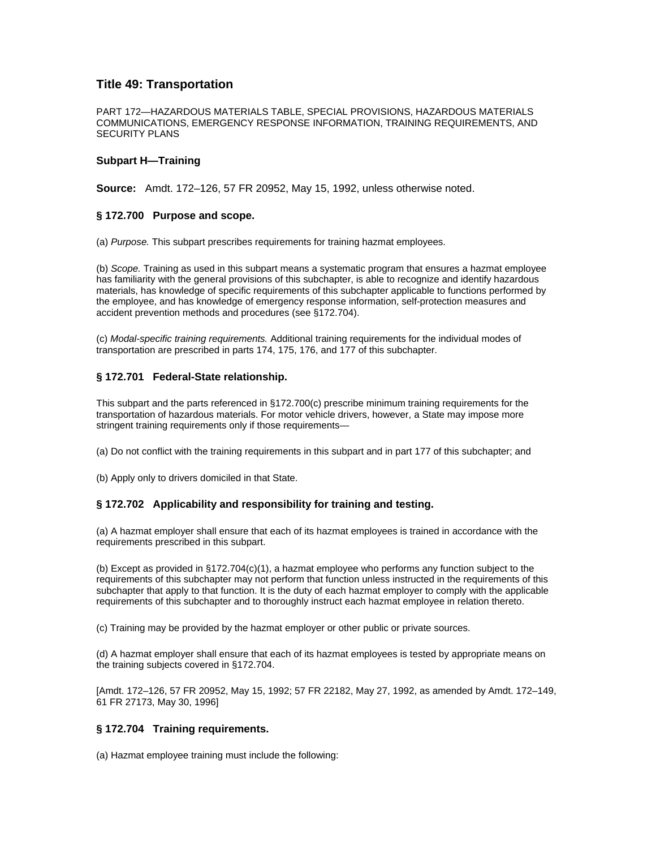# **Title 49: Transportation**

PART 172—HAZARDOUS MATERIALS TABLE, SPECIAL PROVISIONS, HAZARDOUS MATERIALS COMMUNICATIONS, EMERGENCY RESPONSE INFORMATION, TRAINING REQUIREMENTS, AND SECURITY PLANS

#### **Subpart H—Training**

**Source:** Amdt. 172–126, 57 FR 20952, May 15, 1992, unless otherwise noted.

## **§ 172.700 Purpose and scope.**

(a) *Purpose.* This subpart prescribes requirements for training hazmat employees.

(b) *Scope.* Training as used in this subpart means a systematic program that ensures a hazmat employee has familiarity with the general provisions of this subchapter, is able to recognize and identify hazardous materials, has knowledge of specific requirements of this subchapter applicable to functions performed by the employee, and has knowledge of emergency response information, self-protection measures and accident prevention methods and procedures (see §172.704).

(c) *Modal-specific training requirements.* Additional training requirements for the individual modes of transportation are prescribed in parts 174, 175, 176, and 177 of this subchapter.

## **§ 172.701 Federal-State relationship.**

This subpart and the parts referenced in §172.700(c) prescribe minimum training requirements for the transportation of hazardous materials. For motor vehicle drivers, however, a State may impose more stringent training requirements only if those requirements—

(a) Do not conflict with the training requirements in this subpart and in part 177 of this subchapter; and

(b) Apply only to drivers domiciled in that State.

## **§ 172.702 Applicability and responsibility for training and testing.**

(a) A hazmat employer shall ensure that each of its hazmat employees is trained in accordance with the requirements prescribed in this subpart.

(b) Except as provided in §172.704(c)(1), a hazmat employee who performs any function subject to the requirements of this subchapter may not perform that function unless instructed in the requirements of this subchapter that apply to that function. It is the duty of each hazmat employer to comply with the applicable requirements of this subchapter and to thoroughly instruct each hazmat employee in relation thereto.

(c) Training may be provided by the hazmat employer or other public or private sources.

(d) A hazmat employer shall ensure that each of its hazmat employees is tested by appropriate means on the training subjects covered in §172.704.

[Amdt. 172–126, 57 FR 20952, May 15, 1992; 57 FR 22182, May 27, 1992, as amended by Amdt. 172–149, 61 FR 27173, May 30, 1996]

#### **§ 172.704 Training requirements.**

(a) Hazmat employee training must include the following: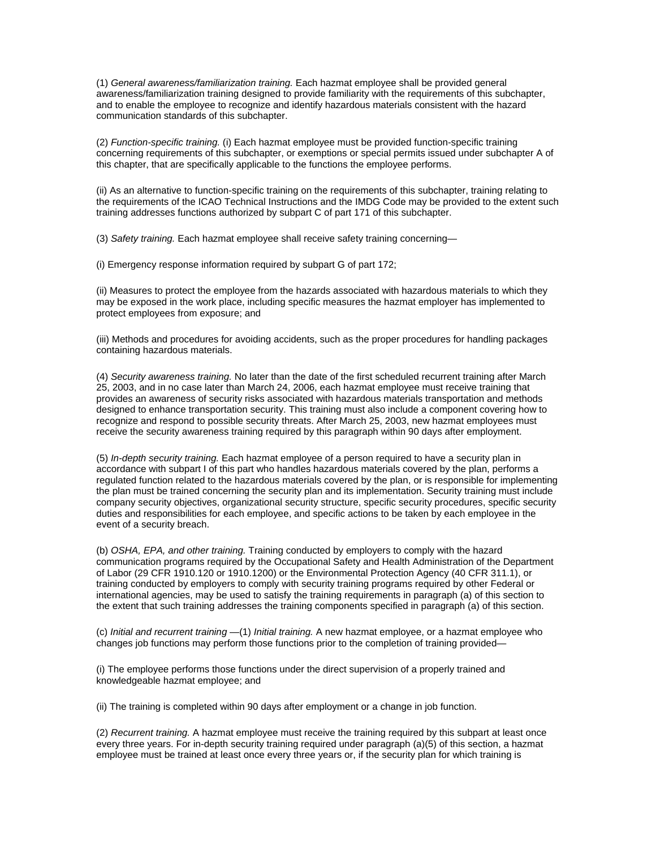(1) *General awareness/familiarization training.* Each hazmat employee shall be provided general awareness/familiarization training designed to provide familiarity with the requirements of this subchapter, and to enable the employee to recognize and identify hazardous materials consistent with the hazard communication standards of this subchapter.

(2) *Function-specific training.* (i) Each hazmat employee must be provided function-specific training concerning requirements of this subchapter, or exemptions or special permits issued under subchapter A of this chapter, that are specifically applicable to the functions the employee performs.

(ii) As an alternative to function-specific training on the requirements of this subchapter, training relating to the requirements of the ICAO Technical Instructions and the IMDG Code may be provided to the extent such training addresses functions authorized by subpart C of part 171 of this subchapter.

(3) *Safety training.* Each hazmat employee shall receive safety training concerning—

(i) Emergency response information required by subpart G of part 172;

(ii) Measures to protect the employee from the hazards associated with hazardous materials to which they may be exposed in the work place, including specific measures the hazmat employer has implemented to protect employees from exposure; and

(iii) Methods and procedures for avoiding accidents, such as the proper procedures for handling packages containing hazardous materials.

(4) *Security awareness training.* No later than the date of the first scheduled recurrent training after March 25, 2003, and in no case later than March 24, 2006, each hazmat employee must receive training that provides an awareness of security risks associated with hazardous materials transportation and methods designed to enhance transportation security. This training must also include a component covering how to recognize and respond to possible security threats. After March 25, 2003, new hazmat employees must receive the security awareness training required by this paragraph within 90 days after employment.

(5) *In-depth security training.* Each hazmat employee of a person required to have a security plan in accordance with subpart I of this part who handles hazardous materials covered by the plan, performs a regulated function related to the hazardous materials covered by the plan, or is responsible for implementing the plan must be trained concerning the security plan and its implementation. Security training must include company security objectives, organizational security structure, specific security procedures, specific security duties and responsibilities for each employee, and specific actions to be taken by each employee in the event of a security breach.

(b) *OSHA, EPA, and other training.* Training conducted by employers to comply with the hazard communication programs required by the Occupational Safety and Health Administration of the Department of Labor (29 CFR 1910.120 or 1910.1200) or the Environmental Protection Agency (40 CFR 311.1), or training conducted by employers to comply with security training programs required by other Federal or international agencies, may be used to satisfy the training requirements in paragraph (a) of this section to the extent that such training addresses the training components specified in paragraph (a) of this section.

(c) *Initial and recurrent training* —(1) *Initial training.* A new hazmat employee, or a hazmat employee who changes job functions may perform those functions prior to the completion of training provided—

(i) The employee performs those functions under the direct supervision of a properly trained and knowledgeable hazmat employee; and

(ii) The training is completed within 90 days after employment or a change in job function.

(2) *Recurrent training.* A hazmat employee must receive the training required by this subpart at least once every three years. For in-depth security training required under paragraph (a)(5) of this section, a hazmat employee must be trained at least once every three years or, if the security plan for which training is